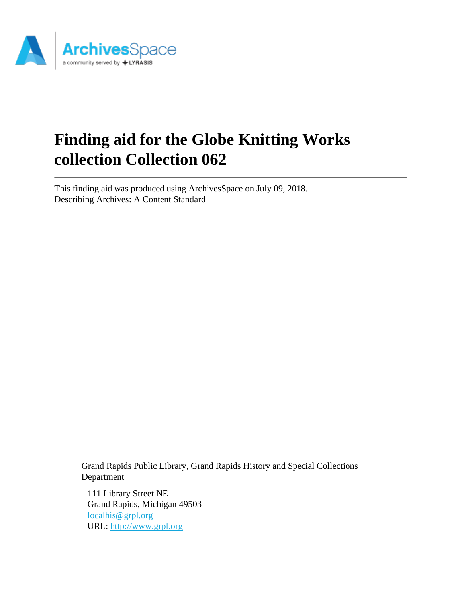

# **Finding aid for the Globe Knitting Works collection Collection 062**

This finding aid was produced using ArchivesSpace on July 09, 2018. Describing Archives: A Content Standard

> Grand Rapids Public Library, Grand Rapids History and Special Collections Department

111 Library Street NE Grand Rapids, Michigan 49503 [localhis@grpl.org](mailto:localhis@grpl.org) URL:<http://www.grpl.org>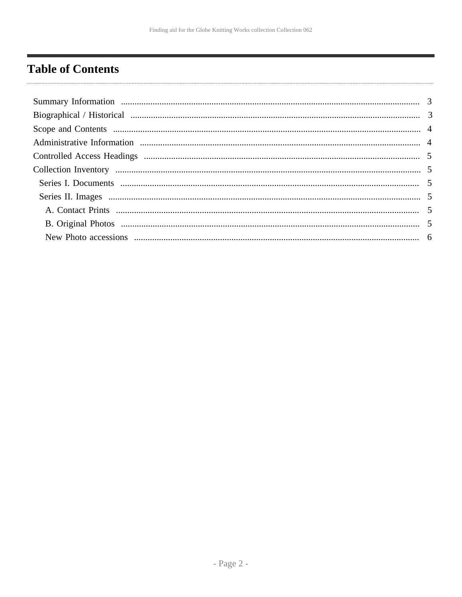# <span id="page-1-0"></span>**Table of Contents**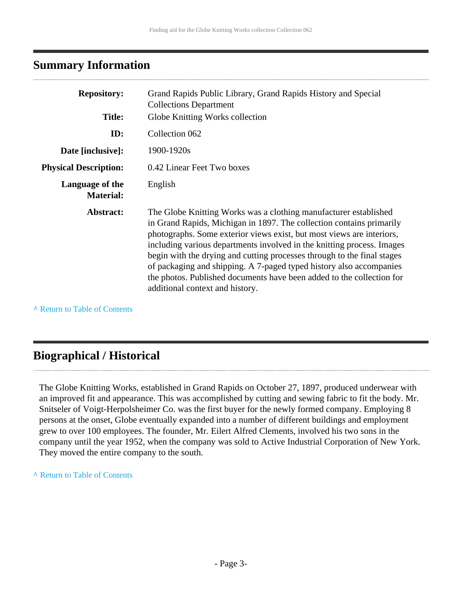### <span id="page-2-0"></span>**Summary Information**

| <b>Repository:</b>                  | Grand Rapids Public Library, Grand Rapids History and Special<br><b>Collections Department</b>                                                                                                                                                                                                                                                                                                                                                                                                                                                            |  |  |
|-------------------------------------|-----------------------------------------------------------------------------------------------------------------------------------------------------------------------------------------------------------------------------------------------------------------------------------------------------------------------------------------------------------------------------------------------------------------------------------------------------------------------------------------------------------------------------------------------------------|--|--|
| <b>Title:</b>                       | Globe Knitting Works collection                                                                                                                                                                                                                                                                                                                                                                                                                                                                                                                           |  |  |
| ID:                                 | Collection 062                                                                                                                                                                                                                                                                                                                                                                                                                                                                                                                                            |  |  |
| Date [inclusive]:                   | 1900-1920s                                                                                                                                                                                                                                                                                                                                                                                                                                                                                                                                                |  |  |
| <b>Physical Description:</b>        | 0.42 Linear Feet Two boxes                                                                                                                                                                                                                                                                                                                                                                                                                                                                                                                                |  |  |
| Language of the<br><b>Material:</b> | English                                                                                                                                                                                                                                                                                                                                                                                                                                                                                                                                                   |  |  |
| Abstract:                           | The Globe Knitting Works was a clothing manufacturer established<br>in Grand Rapids, Michigan in 1897. The collection contains primarily<br>photographs. Some exterior views exist, but most views are interiors,<br>including various departments involved in the knitting process. Images<br>begin with the drying and cutting processes through to the final stages<br>of packaging and shipping. A 7-paged typed history also accompanies<br>the photos. Published documents have been added to the collection for<br>additional context and history. |  |  |

**^** [Return to Table of Contents](#page-1-0)

### <span id="page-2-1"></span>**Biographical / Historical**

The Globe Knitting Works, established in Grand Rapids on October 27, 1897, produced underwear with an improved fit and appearance. This was accomplished by cutting and sewing fabric to fit the body. Mr. Snitseler of Voigt-Herpolsheimer Co. was the first buyer for the newly formed company. Employing 8 persons at the onset, Globe eventually expanded into a number of different buildings and employment grew to over 100 employees. The founder, Mr. Eilert Alfred Clements, involved his two sons in the company until the year 1952, when the company was sold to Active Industrial Corporation of New York. They moved the entire company to the south.

**^** [Return to Table of Contents](#page-1-0)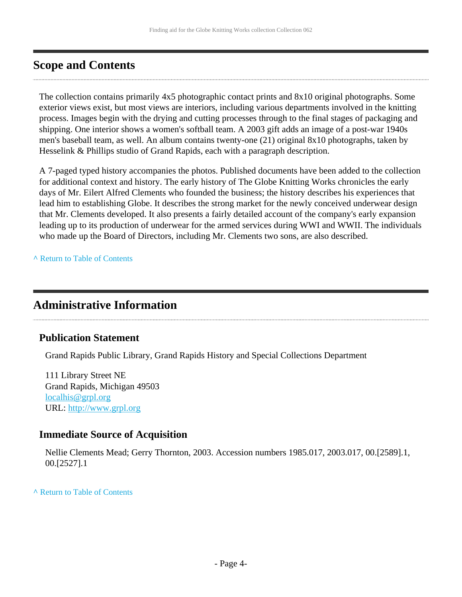## <span id="page-3-0"></span>**Scope and Contents**

The collection contains primarily 4x5 photographic contact prints and 8x10 original photographs. Some exterior views exist, but most views are interiors, including various departments involved in the knitting process. Images begin with the drying and cutting processes through to the final stages of packaging and shipping. One interior shows a women's softball team. A 2003 gift adds an image of a post-war 1940s men's baseball team, as well. An album contains twenty-one (21) original 8x10 photographs, taken by Hesselink & Phillips studio of Grand Rapids, each with a paragraph description.

A 7-paged typed history accompanies the photos. Published documents have been added to the collection for additional context and history. The early history of The Globe Knitting Works chronicles the early days of Mr. Eilert Alfred Clements who founded the business; the history describes his experiences that lead him to establishing Globe. It describes the strong market for the newly conceived underwear design that Mr. Clements developed. It also presents a fairly detailed account of the company's early expansion leading up to its production of underwear for the armed services during WWI and WWII. The individuals who made up the Board of Directors, including Mr. Clements two sons, are also described.

**^** [Return to Table of Contents](#page-1-0)

### <span id="page-3-1"></span>**Administrative Information**

#### **Publication Statement**

Grand Rapids Public Library, Grand Rapids History and Special Collections Department

111 Library Street NE Grand Rapids, Michigan 49503 [localhis@grpl.org](mailto:localhis@grpl.org) URL:<http://www.grpl.org>

#### **Immediate Source of Acquisition**

Nellie Clements Mead; Gerry Thornton, 2003. Accession numbers 1985.017, 2003.017, 00.[2589].1, 00.[2527].1

**^** [Return to Table of Contents](#page-1-0)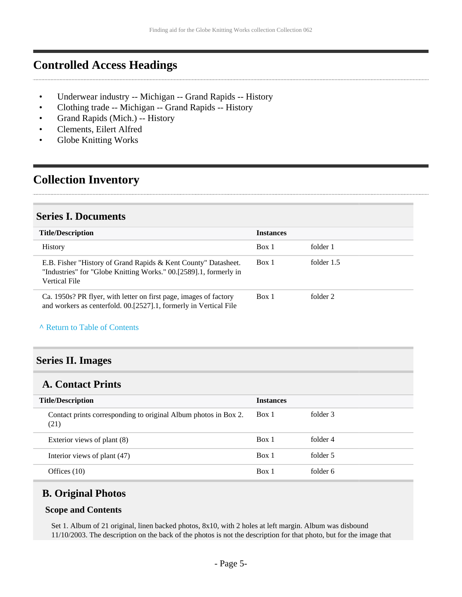### <span id="page-4-0"></span>**Controlled Access Headings**

- Underwear industry -- Michigan -- Grand Rapids -- History
- Clothing trade -- Michigan -- Grand Rapids -- History
- Grand Rapids (Mich.) -- History
- Clements, Eilert Alfred
- Globe Knitting Works

## <span id="page-4-1"></span>**Collection Inventory**

### <span id="page-4-2"></span>**Series I. Documents**

| <b>Title/Description</b>                                                                                                                             | <b>Instances</b> |            |
|------------------------------------------------------------------------------------------------------------------------------------------------------|------------------|------------|
| <b>History</b>                                                                                                                                       | Box 1            | folder 1   |
| E.B. Fisher "History of Grand Rapids & Kent County" Datasheet.<br>"Industries" for "Globe Knitting Works." 00.[2589].1, formerly in<br>Vertical File | Box 1            | folder 1.5 |
| Ca. 1950s? PR flyer, with letter on first page, images of factory<br>and workers as centerfold. 00.[2527].1, formerly in Vertical File               | Box 1            | folder 2   |

#### **^** [Return to Table of Contents](#page-1-0)

#### <span id="page-4-3"></span>**Series II. Images**

### <span id="page-4-4"></span>**A. Contact Prints**

| <b>Title/Description</b>                                                | <b>Instances</b> |          |  |
|-------------------------------------------------------------------------|------------------|----------|--|
| Contact prints corresponding to original Album photos in Box 2.<br>(21) | Box 1            | folder 3 |  |
| Exterior views of plant (8)                                             | Box 1            | folder 4 |  |
| Interior views of plant (47)                                            | Box 1            | folder 5 |  |
| Offices $(10)$                                                          | Box 1            | folder 6 |  |

#### <span id="page-4-5"></span>**B. Original Photos**

#### **Scope and Contents**

Set 1. Album of 21 original, linen backed photos, 8x10, with 2 holes at left margin. Album was disbound 11/10/2003. The description on the back of the photos is not the description for that photo, but for the image that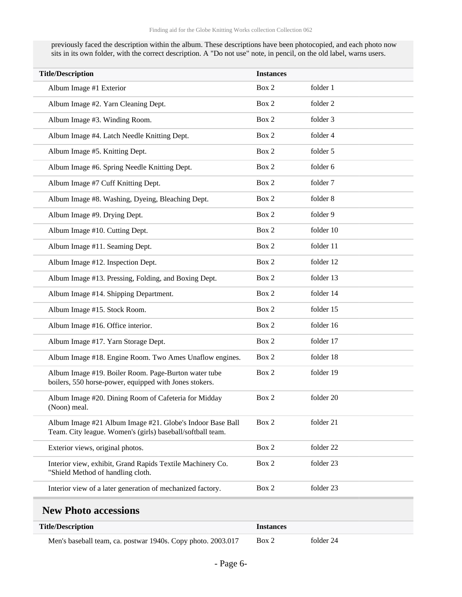previously faced the description within the album. These descriptions have been photocopied, and each photo now sits in its own folder, with the correct description. A "Do not use" note, in pencil, on the old label, warns users.

| <b>Title/Description</b>                                                                                                | <b>Instances</b> |           |  |
|-------------------------------------------------------------------------------------------------------------------------|------------------|-----------|--|
| Album Image #1 Exterior                                                                                                 | Box 2            | folder 1  |  |
| Album Image #2. Yarn Cleaning Dept.                                                                                     | Box 2            | folder 2  |  |
| Album Image #3. Winding Room.                                                                                           | Box 2            | folder 3  |  |
| Album Image #4. Latch Needle Knitting Dept.                                                                             | Box 2            | folder 4  |  |
| Album Image #5. Knitting Dept.                                                                                          | Box 2            | folder 5  |  |
| Album Image #6. Spring Needle Knitting Dept.                                                                            | Box 2            | folder 6  |  |
| Album Image #7 Cuff Knitting Dept.                                                                                      | Box 2            | folder 7  |  |
| Album Image #8. Washing, Dyeing, Bleaching Dept.                                                                        | Box 2            | folder 8  |  |
| Album Image #9. Drying Dept.                                                                                            | Box 2            | folder 9  |  |
| Album Image #10. Cutting Dept.                                                                                          | Box 2            | folder 10 |  |
| Album Image #11. Seaming Dept.                                                                                          | Box 2            | folder 11 |  |
| Album Image #12. Inspection Dept.                                                                                       | Box 2            | folder 12 |  |
| Album Image #13. Pressing, Folding, and Boxing Dept.                                                                    | Box 2            | folder 13 |  |
| Album Image #14. Shipping Department.                                                                                   | Box 2            | folder 14 |  |
| Album Image #15. Stock Room.                                                                                            | Box 2            | folder 15 |  |
| Album Image #16. Office interior.                                                                                       | Box 2            | folder 16 |  |
| Album Image #17. Yarn Storage Dept.                                                                                     | Box 2            | folder 17 |  |
| Album Image #18. Engine Room. Two Ames Unaflow engines.                                                                 | Box 2            | folder 18 |  |
| Album Image #19. Boiler Room. Page-Burton water tube<br>boilers, 550 horse-power, equipped with Jones stokers.          | Box 2            | folder 19 |  |
| Album Image #20. Dining Room of Cafeteria for Midday<br>(Noon) meal.                                                    | Box 2            | folder 20 |  |
| Album Image #21 Album Image #21. Globe's Indoor Base Ball<br>Team. City league. Women's (girls) baseball/softball team. | Box 2            | folder 21 |  |
| Exterior views, original photos.                                                                                        | Box 2            | folder 22 |  |
| Interior view, exhibit, Grand Rapids Textile Machinery Co.<br>"Shield Method of handling cloth.                         | Box 2            | folder 23 |  |
| Interior view of a later generation of mechanized factory.                                                              | Box 2            | folder 23 |  |

#### <span id="page-5-0"></span>**New Photo accessions**

| <b>Title/Description</b>                                     | <b>Instances</b> |           |  |
|--------------------------------------------------------------|------------------|-----------|--|
| Men's baseball team, ca. postwar 1940s. Copy photo. 2003.017 | Box 2            | folder 24 |  |